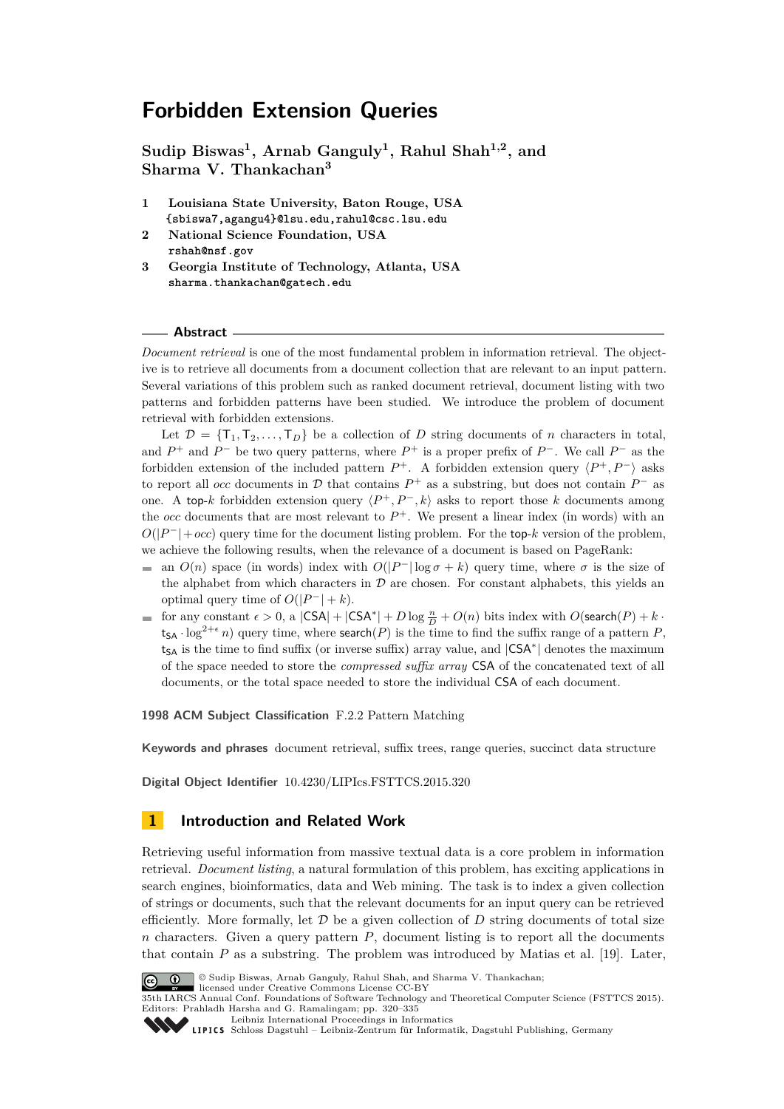# **Forbidden Extension Queries**

**Sudip Biswas<sup>1</sup> , Arnab Ganguly<sup>1</sup> , Rahul Shah1,2, and Sharma V. Thankachan<sup>3</sup>**

- **1 Louisiana State University, Baton Rouge, USA {sbiswa7,agangu4}@lsu.edu,rahul@csc.lsu.edu**
- **2 National Science Foundation, USA rshah@nsf.gov**
- **3 Georgia Institute of Technology, Atlanta, USA sharma.thankachan@gatech.edu**

### **Abstract**

*Document retrieval* is one of the most fundamental problem in information retrieval. The objective is to retrieve all documents from a document collection that are relevant to an input pattern. Several variations of this problem such as ranked document retrieval, document listing with two patterns and forbidden patterns have been studied. We introduce the problem of document retrieval with forbidden extensions.

Let  $\mathcal{D} = \{T_1, T_2, \ldots, T_D\}$  be a collection of *D* string documents of *n* characters in total, and  $P^+$  and  $P^-$  be two query patterns, where  $P^+$  is a proper prefix of  $P^-$ . We call  $P^-$  as the forbidden extension of the included pattern  $P^+$ . A forbidden extension query  $\langle P^+, P^- \rangle$  asks to report all *occ* documents in  $D$  that contains  $P^+$  as a substring, but does not contain  $P^-$  as one. A top-*k* forbidden extension query  $\langle P^+, P^-, k \rangle$  asks to report those *k* documents among the *occ* documents that are most relevant to  $P^+$ . We present a linear index (in words) with an  $O(|P^-|+occ)$  query time for the document listing problem. For the top- $k$  version of the problem, we achieve the following results, when the relevance of a document is based on PageRank:

- an  $O(n)$  space (in words) index with  $O(|P^-| \log \sigma + k)$  query time, where  $\sigma$  is the size of the alphabet from which characters in  $D$  are chosen. For constant alphabets, this yields an optimal query time of  $O(|P^-| + k)$ .
- for any constant  $\epsilon > 0$ , a  $|CSA| + |CSA^*| + D \log \frac{n}{D} + O(n)$  bits index with  $O(\text{search}(P) + k \cdot$  $t_{SA} \cdot \log^{2+\epsilon} n$ ) query time, where search(*P*) is the time to find the suffix range of a pattern *P*, tsA is the time to find suffix (or inverse suffix) array value, and  $|CSA^*|$  denotes the maximum of the space needed to store the *compressed suffix array* CSA of the concatenated text of all documents, or the total space needed to store the individual CSA of each document.

**1998 ACM Subject Classification** F.2.2 Pattern Matching

**Keywords and phrases** document retrieval, suffix trees, range queries, succinct data structure

**Digital Object Identifier** [10.4230/LIPIcs.FSTTCS.2015.320](http://dx.doi.org/10.4230/LIPIcs.FSTTCS.2015.320)

## **1 Introduction and Related Work**

Retrieving useful information from massive textual data is a core problem in information retrieval. *Document listing*, a natural formulation of this problem, has exciting applications in search engines, bioinformatics, data and Web mining. The task is to index a given collection of strings or documents, such that the relevant documents for an input query can be retrieved efficiently. More formally, let  $\mathcal D$  be a given collection of  $D$  string documents of total size *n* characters. Given a query pattern *P*, document listing is to report all the documents that contain *P* as a substring. The problem was introduced by Matias et al. [\[19\]](#page-14-0). Later,



<sup>©</sup> Sudip Biswas, Arnab Ganguly, Rahul Shah, and Sharma V. Thankachan;

licensed under Creative Commons License CC-BY 35th IARCS Annual Conf. Foundations of Software Technology and Theoretical Computer Science (FSTTCS 2015). Editors: Prahladh Harsha and G. Ramalingam; pp. 320[–335](#page-15-0)

[Leibniz International Proceedings in Informatics](http://www.dagstuhl.de/lipics/)

```
Schloss Dagstuhl – Leibniz-Zentrum für Informatik, Dagstuhl Publishing, Germany
```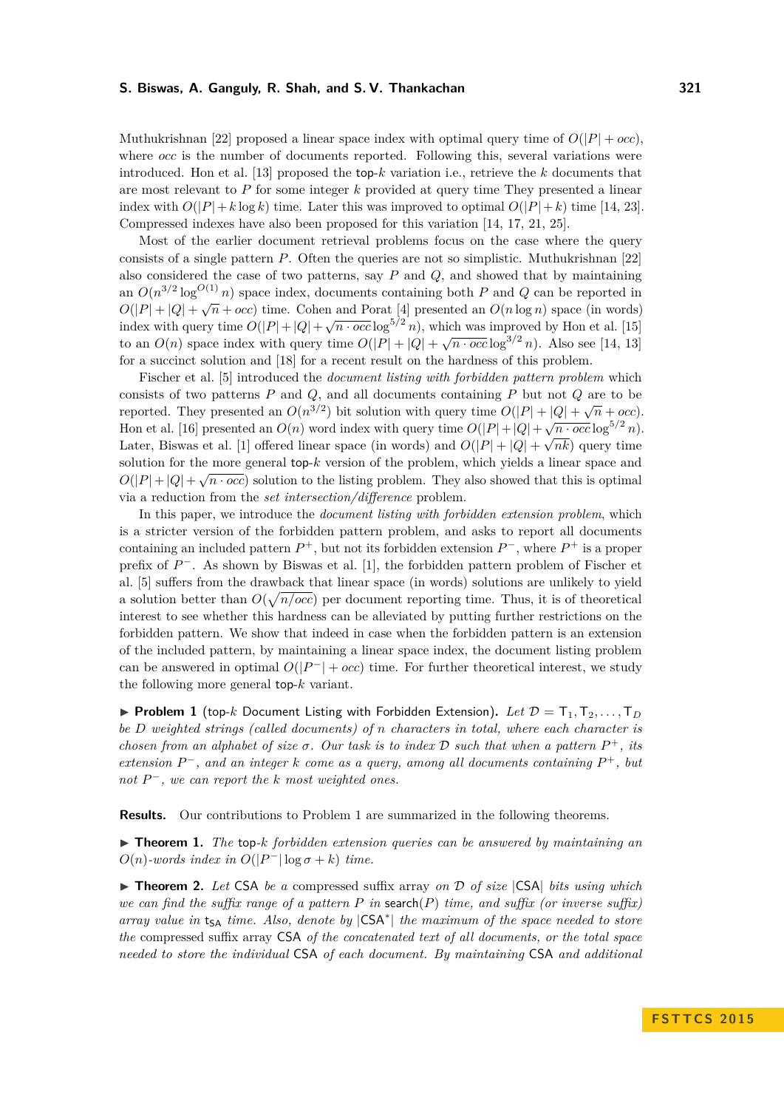Muthukrishnan [\[22\]](#page-14-1) proposed a linear space index with optimal query time of  $O(|P| + occ)$ , where *occ* is the number of documents reported. Following this, several variations were introduced. Hon et al. [\[13\]](#page-13-0) proposed the top-*k* variation i.e., retrieve the *k* documents that are most relevant to *P* for some integer *k* provided at query time They presented a linear index with  $O(|P|+k \log k)$  time. Later this was improved to optimal  $O(|P|+k)$  time [\[14,](#page-13-1) [23\]](#page-14-2). Compressed indexes have also been proposed for this variation [\[14,](#page-13-1) [17,](#page-14-3) [21,](#page-14-4) [25\]](#page-14-5).

Most of the earlier document retrieval problems focus on the case where the query consists of a single pattern *P*. Often the queries are not so simplistic. Muthukrishnan [\[22\]](#page-14-1) also considered the case of two patterns, say *P* and *Q*, and showed that by maintaining an  $O(n^{3/2} \log^{O(1)} n)$  space index, documents containing both *P* and *Q* can be reported in  $O(|P| + |Q| + \sqrt{n} + occ)$  time. Cohen and Porat [\[4\]](#page-13-2) presented an  $O(n \log n)$  space (in words) index with query time  $O(|P|+|Q|+\sqrt{n\cdot occ}\log^{5/2} n)$ , which was improved by Hon et al. [\[15\]](#page-13-3) to an  $O(n)$  space index with query time  $O(|P| + |Q| + \sqrt{n \cdot occ} \log^{3/2} n)$ . Also see [\[14,](#page-13-1) [13\]](#page-13-0) for a succinct solution and [\[18\]](#page-14-6) for a recent result on the hardness of this problem.

Fischer et al. [\[5\]](#page-13-4) introduced the *document listing with forbidden pattern problem* which consists of two patterns *P* and *Q*, and all documents containing *P* but not *Q* are to be reported. They presented an  $O(n^{3/2})$  bit solution with query time  $O(|P| + |Q| + \sqrt{n} + occ)$ . Hon et al. [\[16\]](#page-14-7) presented an  $O(n)$  word index with query time  $O(|P|+|Q|+\sqrt{n\cdot occ}\log^{5/2} n)$ . Later, Biswas et al. [\[1\]](#page-13-5) offered linear space (in words) and  $O(|P| + |Q| + \sqrt{nk})$  query time solution for the more general top- $k$  version of the problem, which yields a linear space and  $\hat{\mathcal{O}}(E|_{k+1}, \hat{\mathcal{O}})$  $O(|P| + |Q| + \sqrt{n \cdot occ})$  solution to the listing problem. They also showed that this is optimal via a reduction from the *set intersection/difference* problem.

In this paper, we introduce the *document listing with forbidden extension problem*, which is a stricter version of the forbidden pattern problem, and asks to report all documents containing an included pattern  $P^+$ , but not its forbidden extension  $P^-$ , where  $P^+$  is a proper prefix of  $P^-$ . As shown by Biswas et al. [\[1\]](#page-13-5), the forbidden pattern problem of Fischer et al. [\[5\]](#page-13-4) suffers from the drawback that linear space (in words) solutions are unlikely to yield a solution better than  $O(\sqrt{n/occ})$  per document reporting time. Thus, it is of theoretical interest to see whether this hardness can be alleviated by putting further restrictions on the forbidden pattern. We show that indeed in case when the forbidden pattern is an extension of the included pattern, by maintaining a linear space index, the document listing problem can be answered in optimal  $O(|P^-| + occ)$  time. For further theoretical interest, we study the following more general top-*k* variant.

<span id="page-1-0"></span>**Problem 1** (top-*k* Document Listing with Forbidden Extension). Let  $\mathcal{D} = T_1, T_2, \ldots, T_D$ *be D weighted strings (called documents) of n characters in total, where each character is chosen from an alphabet of size*  $\sigma$ . Our task is to index  $D$  such that when a pattern  $P^+$ , its  $extension P^-$ , and an integer  $k$  *come as a query*, among all documents containing  $P^+$ , but *not P* <sup>−</sup>*, we can report the k most weighted ones.*

**Results.** Our contributions to Problem [1](#page-1-0) are summarized in the following theorems.

<span id="page-1-1"></span>▶ **Theorem 1.** *The* top-*k forbidden extension queries can be answered by maintaining an*  $O(n)$ -words index in  $O(|P^-| \log \sigma + k)$  time.

<span id="page-1-2"></span>▶ **Theorem 2.** Let CSA be a compressed suffix array on D of size CSA| bits using which *we can find the suffix range of a pattern*  $P$  *in* search( $P$ ) *time, and suffix* (*or inverse suffix*) *array value in* t<sub>SA</sub> *time. Also, denote by*  $|CSA^*|$  *the maximum of the space needed to store the* compressed suffix array CSA *of the concatenated text of all documents, or the total space needed to store the individual* CSA *of each document. By maintaining* CSA *and additional*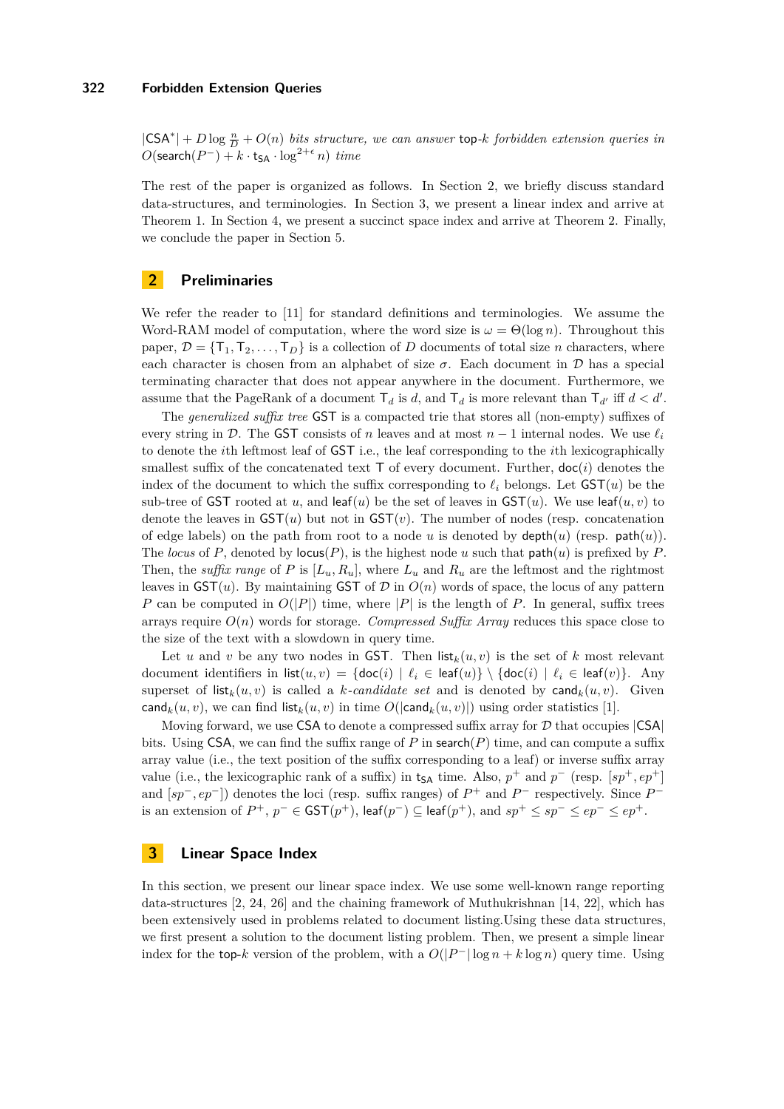$|CSA^*| + D \log \frac{n}{D} + O(n)$  *bits structure, we can answer* top-*k forbidden extension queries in*  $O(\mathsf{search}(P^-) + k \cdot \mathsf{t}_{\mathsf{SA}} \cdot \log^{2+\epsilon} n) \ \textit{time}$ 

The rest of the paper is organized as follows. In Section [2,](#page-2-0) we briefly discuss standard data-structures, and terminologies. In Section [3,](#page-2-1) we present a linear index and arrive at Theorem [1.](#page-1-1) In Section [4,](#page-9-0) we present a succinct space index and arrive at Theorem [2.](#page-1-2) Finally, we conclude the paper in Section [5.](#page-12-0)

## <span id="page-2-0"></span>**2 Preliminaries**

We refer the reader to [\[11\]](#page-13-6) for standard definitions and terminologies. We assume the Word-RAM model of computation, where the word size is  $\omega = \Theta(\log n)$ . Throughout this paper,  $\mathcal{D} = \{\mathsf{T}_1, \mathsf{T}_2, \ldots, \mathsf{T}_D\}$  is a collection of *D* documents of total size *n* characters, where each character is chosen from an alphabet of size  $\sigma$ . Each document in  $\mathcal D$  has a special terminating character that does not appear anywhere in the document. Furthermore, we assume that the PageRank of a document  $\mathsf{T}_d$  is *d*, and  $\mathsf{T}_d$  is more relevant than  $\mathsf{T}_{d'}$  iff  $d < d'$ .

The *generalized suffix tree* GST is a compacted trie that stores all (non-empty) suffixes of every string in D. The GST consists of *n* leaves and at most  $n-1$  internal nodes. We use  $\ell_i$ to denote the *i*th leftmost leaf of GST i.e., the leaf corresponding to the *i*th lexicographically smallest suffix of the concatenated text  $\mathsf T$  of every document. Further,  $\text{doc}(i)$  denotes the index of the document to which the suffix corresponding to  $\ell_i$  belongs. Let  $GST(u)$  be the sub-tree of GST rooted at *u*, and leaf(*u*) be the set of leaves in  $GST(u)$ . We use leaf(*u, v*) to denote the leaves in GST(*u*) but not in GST(*v*). The number of nodes (resp. concatenation of edge labels) on the path from root to a node *u* is denoted by  $\text{depth}(u)$  (resp.  $\text{path}(u)$ ). The *locus* of  $P$ , denoted by  $\text{locus}(P)$ , is the highest node  $u$  such that  $\text{path}(u)$  is prefixed by  $P$ . Then, the *suffix range* of  $P$  is  $[L_u, R_u]$ , where  $L_u$  and  $R_u$  are the leftmost and the rightmost leaves in  $\mathsf{GST}(u)$ . By maintaining  $\mathsf{GST}$  of  $\mathcal D$  in  $O(n)$  words of space, the locus of any pattern *P* can be computed in  $O(|P|)$  time, where |*P*| is the length of *P*. In general, suffix trees arrays require  $O(n)$  words for storage. *Compressed Suffix Array* reduces this space close to the size of the text with a slowdown in query time.

Let *u* and *v* be any two nodes in GST. Then  $\text{list}_k(u, v)$  is the set of *k* most relevant document identifiers in  $list(u, v) = \{doc(i) | \ell_i \in leaf(u)\} \setminus \{doc(i) | \ell_i \in leaf(v)\}.$  Any superset of  $list_k(u, v)$  is called a *k*-*candidate set* and is denoted by  $\text{cand}_k(u, v)$ . Given cand<sub>*k*</sub>(*u, v*), we can find list<sub>*k*</sub>(*u, v*) in time  $O(|\text{cand}_k(u, v)|)$  using order statistics [\[1\]](#page-13-5).

Moving forward, we use CSA to denote a compressed suffix array for  $D$  that occupies  $|CSA|$ bits. Using CSA, we can find the suffix range of *P* in search(*P*) time, and can compute a suffix array value (i.e., the text position of the suffix corresponding to a leaf) or inverse suffix array value (i.e., the lexicographic rank of a suffix) in  $t_{SA}$  time. Also,  $p^+$  and  $p^-$  (resp.  $[sp^+, ep^+]$ and  $[sp^-, ep^-]$  denotes the loci (resp. suffix ranges) of  $P^+$  and  $P^-$  respectively. Since  $P^$ is an extension of  $P^+$ ,  $p^-$  ∈ GST( $p^+$ ), leaf( $p^-$ ) ⊆ leaf( $p^+$ ), and  $sp^+$  ≤  $sp^-$  ≤  $ep^+$  ≤  $ep^+$ .

## <span id="page-2-1"></span>**3 Linear Space Index**

In this section, we present our linear space index. We use some well-known range reporting data-structures [\[2,](#page-13-7) [24,](#page-14-8) [26\]](#page-14-9) and the chaining framework of Muthukrishnan [\[14,](#page-13-1) [22\]](#page-14-1), which has been extensively used in problems related to document listing.Using these data structures, we first present a solution to the document listing problem. Then, we present a simple linear index for the top-*k* version of the problem, with a  $O(|P^-| \log n + k \log n)$  query time. Using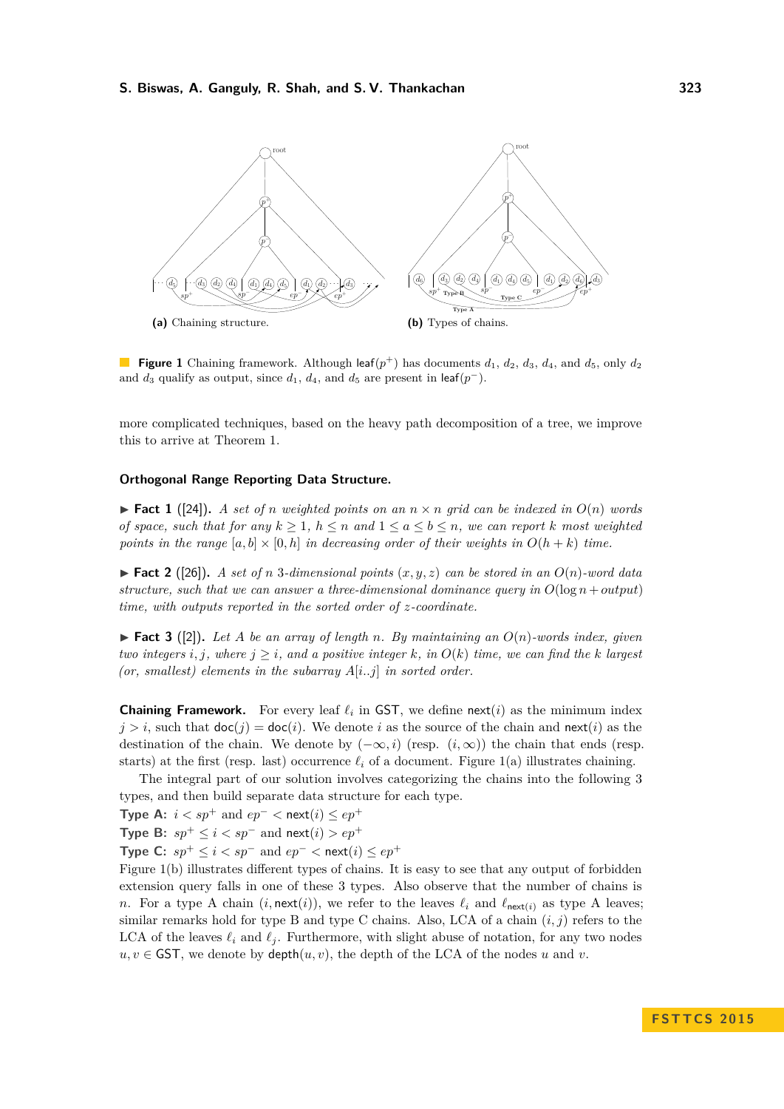<span id="page-3-0"></span>

**Figure 1** Chaining framework. Although leaf $(p^+)$  has documents  $d_1$ ,  $d_2$ ,  $d_3$ ,  $d_4$ , and  $d_5$ , only  $d_2$ and  $d_3$  qualify as output, since  $d_1$ ,  $d_4$ , and  $d_5$  are present in leaf( $p^-$ ).

more complicated techniques, based on the heavy path decomposition of a tree, we improve this to arrive at Theorem [1.](#page-1-1)

### **Orthogonal Range Reporting Data Structure.**

<span id="page-3-2"></span> $\blacktriangleright$  **Fact 1** ([\[24\]](#page-14-8)). A set of *n* weighted points on an  $n \times n$  grid can be indexed in  $O(n)$  words *of space, such that for any*  $k \geq 1$ ,  $h \leq n$  *and*  $1 \leq a \leq b \leq n$ , we can report *k* most weighted *points in the range*  $[a, b] \times [0, h]$  *in decreasing order of their weights in*  $O(h + k)$  *time.* 

<span id="page-3-3"></span> $\blacktriangleright$  **Fact 2** ([\[26\]](#page-14-9)). A set of *n* 3*-dimensional points*  $(x, y, z)$  *can be stored in an*  $O(n)$ *-word data structure, such that we can answer a three-dimensional dominance query in*  $O(\log n + output)$ *time, with outputs reported in the sorted order of z-coordinate.*

<span id="page-3-1"></span> $\blacktriangleright$  **Fact 3** ([\[2\]](#page-13-7)). Let A be an array of length n. By maintaining an  $O(n)$ -words index, given *two integers i, j, where*  $j \geq i$ *, and a positive integer k, in*  $O(k)$  *time, we can find the k largest (or, smallest) elements in the subarray A*[*i..j*] *in sorted order.*

**Chaining Framework.** For every leaf  $\ell_i$  in GST, we define next(*i*) as the minimum index  $j > i$ , such that  $\text{doc}(j) = \text{doc}(i)$ . We denote *i* as the source of the chain and  $\text{next}(i)$  as the destination of the chain. We denote by  $(-\infty, i)$  (resp.  $(i, \infty)$ ) the chain that ends (resp. starts) at the first (resp. last) occurrence  $\ell_i$  of a document. Figure [1\(](#page-3-0)a) illustrates chaining.

The integral part of our solution involves categorizing the chains into the following 3 types, and then build separate data structure for each type.

**Type A:**  $i < sp^+$  and  $ep^- <$  next $(i) \le ep^+$ 

**Type B:**  $sp^+ ≤ i < sp^-$  and  $next(i) > ep^+$ 

**Type C:**  $sp^{+} \leq i < sp^{-}$  and  $ep^{-} <$  next(*i*) ≤  $ep^{+}$ 

Figure [1\(](#page-3-0)b) illustrates different types of chains. It is easy to see that any output of forbidden extension query falls in one of these 3 types. Also observe that the number of chains is *n*. For a type A chain  $(i, \text{next}(i))$ , we refer to the leaves  $\ell_i$  and  $\ell_{\text{next}(i)}$  as type A leaves; similar remarks hold for type B and type C chains. Also, LCA of a chain  $(i, j)$  refers to the LCA of the leaves  $\ell_i$  and  $\ell_j$ . Furthermore, with slight abuse of notation, for any two nodes  $u, v \in$  **GST**, we denote by **depth** $(u, v)$ , the depth of the LCA of the nodes *u* and *v*.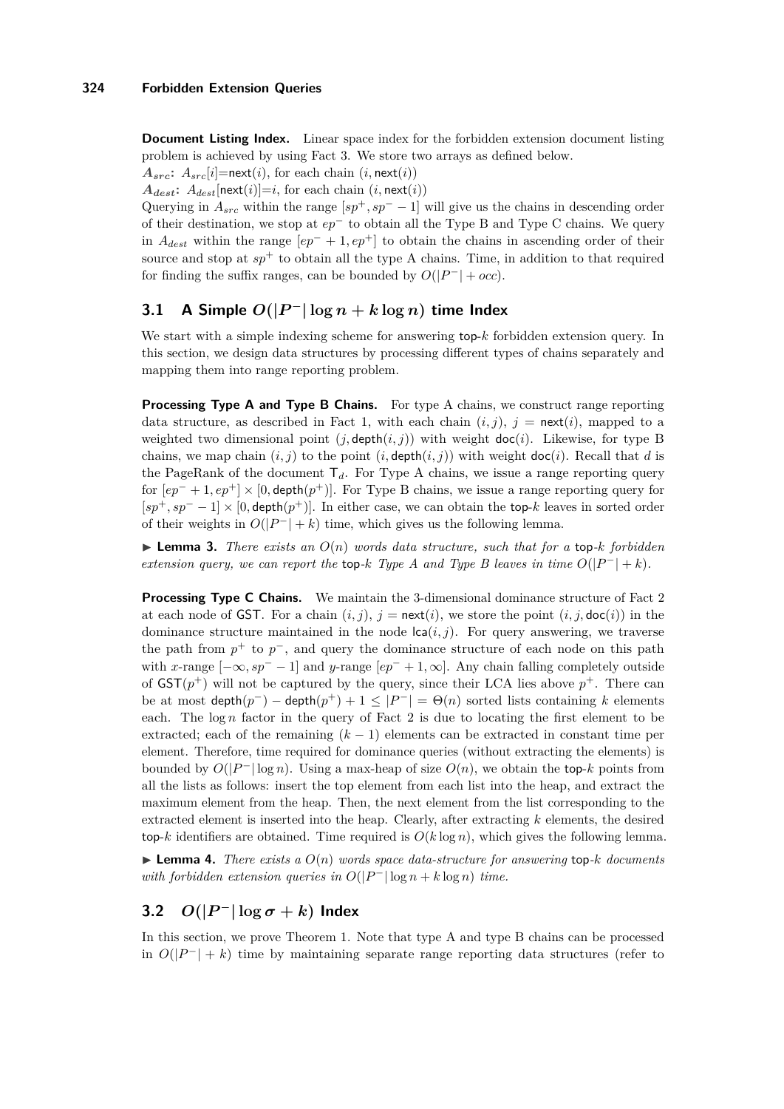**Document Listing Index.** Linear space index for the forbidden extension document listing problem is achieved by using Fact [3.](#page-3-1) We store two arrays as defined below.

 $A_{src}$ :  $A_{src}[i]$ =next(*i*), for each chain (*i*, next(*i*))

 $A_{dest}$ :  $A_{dest}$ [next(*i*)]=*i*, for each chain (*i*, next(*i*))

Querying in  $A_{src}$  within the range  $[sp^+, sp^- - 1]$  will give us the chains in descending order of their destination, we stop at *ep*<sup>−</sup> to obtain all the Type B and Type C chains. We query in  $A_{dest}$  within the range  $[ep^- + 1, ep^+]$  to obtain the chains in ascending order of their source and stop at  $sp^+$  to obtain all the type A chains. Time, in addition to that required for finding the suffix ranges, can be bounded by  $O(|P^-| + occ)$ .

## <span id="page-4-0"></span>**3.1** A Simple  $O(|P^-| \log n + k \log n)$  time Index

We start with a simple indexing scheme for answering top-*k* forbidden extension query. In this section, we design data structures by processing different types of chains separately and mapping them into range reporting problem.

**Processing Type A and Type B Chains.** For type A chains, we construct range reporting data structure, as described in Fact [1,](#page-3-2) with each chain  $(i, j)$ ,  $j = \text{next}(i)$ , mapped to a weighted two dimensional point  $(j, \text{depth}(i, j))$  with weight  $\text{doc}(i)$ . Likewise, for type B chains, we map chain  $(i, j)$  to the point  $(i, \text{depth}(i, j))$  with weight  $\text{doc}(i)$ . Recall that *d* is the PageRank of the document  $T_d$ . For Type A chains, we issue a range reporting query for [*ep*<sup>−</sup> + 1*, ep*<sup>+</sup>] × [0*,* depth(*p* <sup>+</sup>)]. For Type B chains, we issue a range reporting query for  $[sp^+, sp^- - 1] \times [0, depth(p^+)]$ . In either case, we can obtain the top-k leaves in sorted order of their weights in  $O(|P^-| + k)$  time, which gives us the following lemma.

<span id="page-4-1"></span> $\triangleright$  **Lemma 3.** There exists an  $O(n)$  words data structure, such that for a top-*k* forbidden *extension query, we can report the* top-*k Type A and Type B leaves in time*  $O(|P^-| + k)$ *.* 

**Processing Type C Chains.** We maintain the 3-dimensional dominance structure of Fact [2](#page-3-3) at each node of GST. For a chain  $(i, j)$ ,  $j = \text{next}(i)$ , we store the point  $(i, j, \text{doc}(i))$  in the dominance structure maintained in the node  $\text{lca}(i, j)$ . For query answering, we traverse the path from  $p^+$  to  $p^-$ , and query the dominance structure of each node on this path with *x*-range  $[-\infty, sp^- - 1]$  and *y*-range  $[ep^- + 1, \infty]$ . Any chain falling completely outside of  $\mathsf{GST}(p^+)$  will not be captured by the query, since their LCA lies above  $p^+$ . There can be at most  $\text{depth}(p^-) - \text{depth}(p^+) + 1 \leq |P^-| = \Theta(n)$  sorted lists containing *k* elements each. The  $\log n$  factor in the query of Fact [2](#page-3-3) is due to locating the first element to be extracted; each of the remaining  $(k-1)$  elements can be extracted in constant time per element. Therefore, time required for dominance queries (without extracting the elements) is bounded by  $O(|P^-| \log n)$ . Using a max-heap of size  $O(n)$ , we obtain the top-*k* points from all the lists as follows: insert the top element from each list into the heap, and extract the maximum element from the heap. Then, the next element from the list corresponding to the extracted element is inserted into the heap. Clearly, after extracting *k* elements, the desired top-*k* identifiers are obtained. Time required is  $O(k \log n)$ , which gives the following lemma.

 $\triangleright$  **Lemma 4.** *There exists a*  $O(n)$  *words space data-structure for answering* top-*k documents with forbidden extension queries in*  $O(|P^{-}|\log n + k \log n)$  *time.* 

## **3.2**  $O(|P^-| \log \sigma + k)$  **Index**

In this section, we prove Theorem [1.](#page-1-1) Note that type A and type B chains can be processed in  $O(|P^-| + k)$  time by maintaining separate range reporting data structures (refer to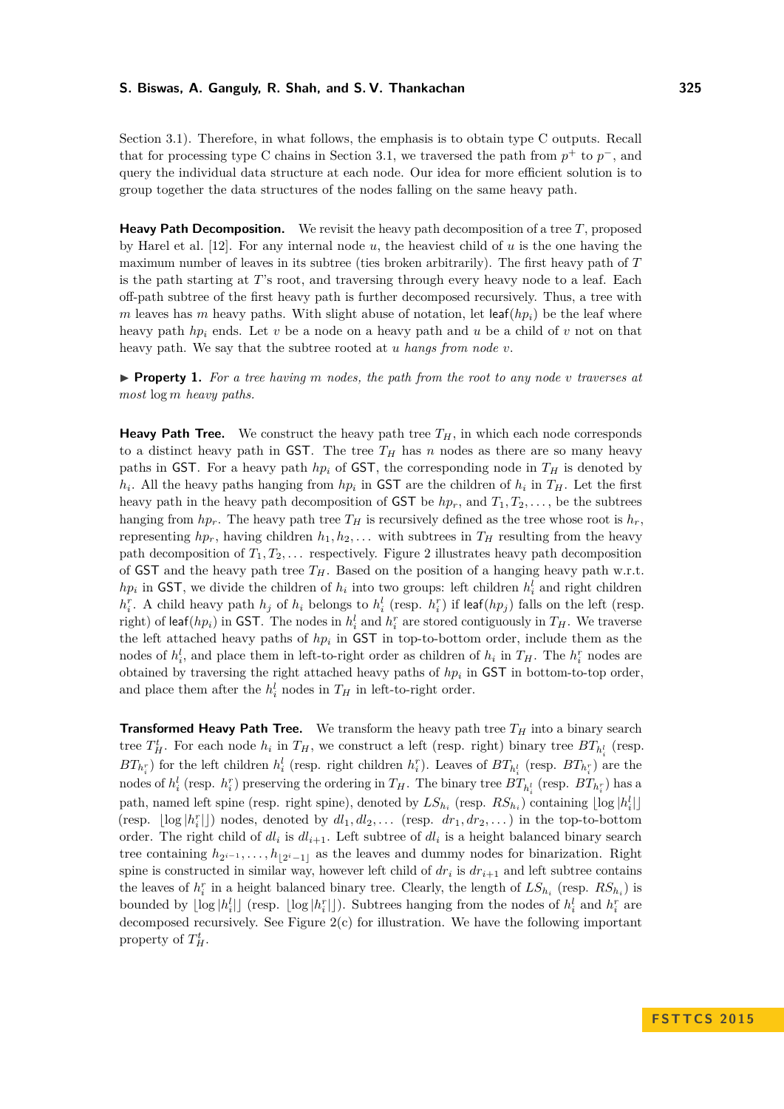Section [3.1\)](#page-4-0). Therefore, in what follows, the emphasis is to obtain type C outputs. Recall that for processing type C chains in Section [3.1,](#page-4-0) we traversed the path from  $p^+$  to  $p^-$ , and query the individual data structure at each node. Our idea for more efficient solution is to group together the data structures of the nodes falling on the same heavy path.

**Heavy Path Decomposition.** We revisit the heavy path decomposition of a tree *T*, proposed by Harel et al. [\[12\]](#page-13-8). For any internal node *u*, the heaviest child of *u* is the one having the maximum number of leaves in its subtree (ties broken arbitrarily). The first heavy path of *T* is the path starting at *T*'s root, and traversing through every heavy node to a leaf. Each off-path subtree of the first heavy path is further decomposed recursively. Thus, a tree with *m* leaves has *m* heavy paths. With slight abuse of notation, let  $\text{leaf}(hp_i)$  be the leaf where heavy path *hp<sup>i</sup>* ends. Let *v* be a node on a heavy path and *u* be a child of *v* not on that heavy path. We say that the subtree rooted at *u hangs from node v*.

<span id="page-5-0"></span> $\triangleright$  **Property 1.** For a tree having m nodes, the path from the root to any node v traverses at *most* log *m heavy paths.*

**Heavy Path Tree.** We construct the heavy path tree  $T_H$ , in which each node corresponds to a distinct heavy path in GST. The tree  $T_H$  has  $n$  nodes as there are so many heavy paths in GST. For a heavy path  $hp_i$  of GST, the corresponding node in  $T_H$  is denoted by *h*<sub>*i*</sub>. All the heavy paths hanging from *hp*<sub>*i*</sub> in GST are the children of *h*<sub>*i*</sub> in  $T$ <sup>*H*</sup>. Let the first heavy path in the heavy path decomposition of **GST** be  $hp_r$ , and  $T_1, T_2, \ldots$ , be the subtrees hanging from  $hp_r$ . The heavy path tree  $T_H$  is recursively defined as the tree whose root is  $h_r$ , representing  $hp_r$ , having children  $h_1, h_2, \ldots$  with subtrees in  $T_H$  resulting from the heavy path decomposition of  $T_1, T_2, \ldots$  respectively. Figure [2](#page-6-0) illustrates heavy path decomposition of GST and the heavy path tree  $T_H$ . Based on the position of a hanging heavy path w.r.t. *h*<sup>*p*</sup><sub>*i*</sub> in GST, we divide the children of *h*<sub>*i*</sub> into two groups: left children  $h_i^l$  and right children  $h_i^r$ . A child heavy path  $h_j$  of  $h_i$  belongs to  $h_i^l$  (resp.  $h_i^r$ ) if leaf( $hp_j$ ) falls on the left (resp. right) of leaf(*hp*<sub>*i*</sub>) in GST. The nodes in  $h_i^l$  and  $h_i^r$  are stored contiguously in  $T_H$ . We traverse the left attached heavy paths of *hp<sup>i</sup>* in GST in top-to-bottom order, include them as the nodes of  $h_i^l$ , and place them in left-to-right order as children of  $h_i$  in  $T_H$ . The  $h_i^r$  nodes are obtained by traversing the right attached heavy paths of  $hp_i$  in  $\text{GST}$  in bottom-to-top order, and place them after the  $h_i^l$  nodes in  $T_H$  in left-to-right order.

**Transformed Heavy Path Tree.** We transform the heavy path tree  $T_H$  into a binary search tree  $T_H^t$ . For each node  $h_i$  in  $T_H$ , we construct a left (resp. right) binary tree  $BT_{h_i^l}$  (resp.  $BT_{h_i^r}$ ) for the left children  $h_i^l$  (resp. right children  $h_i^r$ ). Leaves of  $BT_{h_i^l}$  (resp.  $BT_{h_i^r}$ ) are the nodes of  $h_i^l$  (resp.  $h_i^r$ ) preserving the ordering in  $T_H$ . The binary tree  $BT_{h_i^l}$  (resp.  $BT_{h_i^r}$ ) has a path, named left spine (resp. right spine), denoted by  $LS_{h_i}$  (resp.  $RS_{h_i}$ ) containing  $\lfloor \log |h_i^l| \rfloor$ (resp.  $\lfloor \log |h_i^r| \rfloor$ ) nodes, denoted by  $dl_1, dl_2, \ldots$  (resp.  $dr_1, dr_2, \ldots$ ) in the top-to-bottom order. The right child of  $dl_i$  is  $dl_{i+1}$ . Left subtree of  $dl_i$  is a height balanced binary search tree containing  $h_{2^{i-1}}, \ldots, h_{\lfloor 2^i-1\rfloor}$  as the leaves and dummy nodes for binarization. Right spine is constructed in similar way, however left child of  $dr_i$  is  $dr_{i+1}$  and left subtree contains the leaves of  $h_i^r$  in a height balanced binary tree. Clearly, the length of  $LS_{h_i}$  (resp.  $RS_{h_i}$ ) is bounded by  $\lfloor \log |h_i^l| \rfloor$  (resp.  $\lfloor \log |h_i^r| \rfloor$ ). Subtrees hanging from the nodes of  $h_i^l$  and  $h_i^r$  are decomposed recursively. See Figure  $2(c)$  for illustration. We have the following important property of  $T_H^t$ .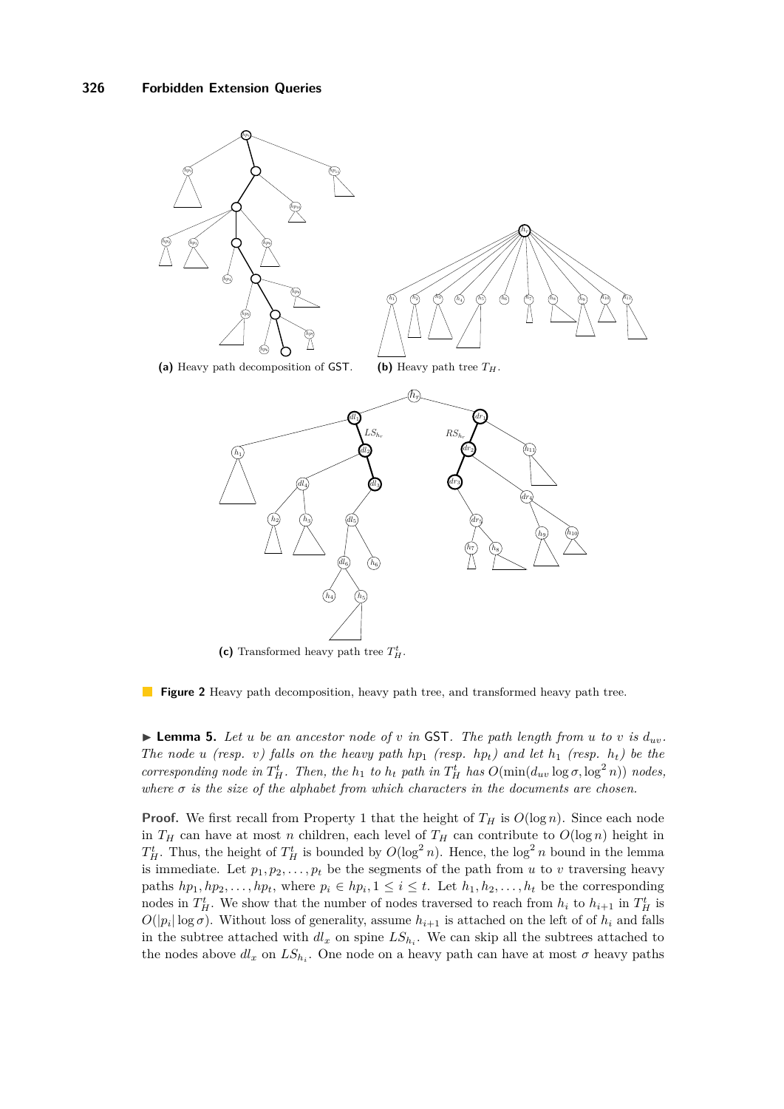<span id="page-6-0"></span>

**Figure 2** Heavy path decomposition, heavy path tree, and transformed heavy path tree.

<span id="page-6-1"></span> $\blacktriangleright$  **Lemma 5.** Let *u be an ancestor node of <i>v in* GST. The path length from *u* to *v is*  $d_{uv}$ . *The node u (resp. v)* falls on the heavy path  $hp_1$  *(resp.*  $hp_t$ *)* and let  $h_1$  *(resp.*  $h_t$ *)* be the corresponding node in  $T_H^t$ . Then, the  $h_1$  to  $h_t$  path in  $T_H^t$  has  $O(\min(d_{uv} \log \sigma, \log^2 n))$  nodes, *where*  $\sigma$  *is the size of the alphabet from which characters in the documents are chosen.* 

**Proof.** We first recall from Property [1](#page-5-0) that the height of  $T_H$  is  $O(\log n)$ . Since each node in  $T_H$  can have at most *n* children, each level of  $T_H$  can contribute to  $O(\log n)$  height in  $T_H^t$ . Thus, the height of  $T_H^t$  is bounded by  $O(\log^2 n)$ . Hence, the  $\log^2 n$  bound in the lemma is immediate. Let  $p_1, p_2, \ldots, p_t$  be the segments of the path from *u* to *v* traversing heavy paths  $hp_1, hp_2, \ldots, hp_t$ , where  $p_i \in hp_i, 1 \leq i \leq t$ . Let  $h_1, h_2, \ldots, h_t$  be the corresponding nodes in  $T_H^t$ . We show that the number of nodes traversed to reach from  $h_i$  to  $h_{i+1}$  in  $T_H^t$  is  $O(|p_i|\log \sigma)$ . Without loss of generality, assume  $h_{i+1}$  is attached on the left of of  $h_i$  and falls in the subtree attached with  $dl_x$  on spine  $LS_{h_i}$ . We can skip all the subtrees attached to the nodes above  $dl_x$  on  $LS_{h_i}$ . One node on a heavy path can have at most  $\sigma$  heavy paths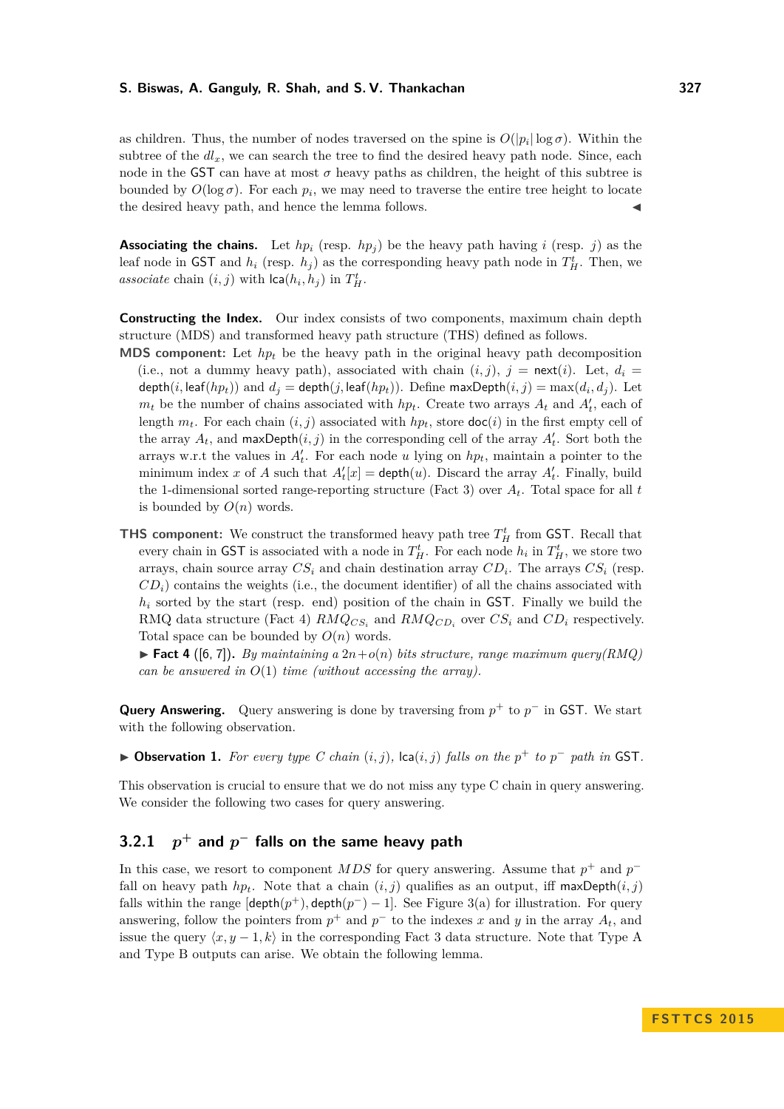as children. Thus, the number of nodes traversed on the spine is  $O(|p_i|\log \sigma)$ . Within the subtree of the  $dl_x$ , we can search the tree to find the desired heavy path node. Since, each node in the GST can have at most  $\sigma$  heavy paths as children, the height of this subtree is bounded by  $O(\log \sigma)$ . For each  $p_i$ , we may need to traverse the entire tree height to locate the desired heavy path, and hence the lemma follows.

**Associating the chains.** Let  $hp_i$  (resp.  $hp_j$ ) be the heavy path having *i* (resp. *j*) as the leaf node in GST and  $h_i$  (resp.  $h_j$ ) as the corresponding heavy path node in  $T_H^t$ . Then, we associate chain  $(i, j)$  with  $\textsf{lca}(h_i, h_j)$  in  $T_H^t$ .

**Constructing the Index.** Our index consists of two components, maximum chain depth structure (MDS) and transformed heavy path structure (THS) defined as follows.

- **MDS component:** Let  $hp_t$  be the heavy path in the original heavy path decomposition (i.e., not a dummy heavy path), associated with chain  $(i, j)$ ,  $j = \text{next}(i)$ . Let,  $d_i =$ depth $(i, \text{leaf}(hp_t))$  and  $d_j = \text{depth}(j, \text{leaf}(hp_t))$ . Define max $\text{Depth}(i, j) = \max(d_i, d_j)$ . Let  $m_t$  be the number of chains associated with  $hp_t$ . Create two arrays  $A_t$  and  $A'_t$ , each of length  $m_t$ . For each chain  $(i, j)$  associated with  $hp_t$ , store  $\text{doc}(i)$  in the first empty cell of the array  $A_t$ , and maxDepth $(i, j)$  in the corresponding cell of the array  $A'_t$ . Sort both the arrays w.r.t the values in  $A_t'$ . For each node *u* lying on  $hp_t$ , maintain a pointer to the minimum index *x* of *A* such that  $A_t'[x] = \text{depth}(u)$ . Discard the array  $A_t'$ . Finally, build the 1-dimensional sorted range-reporting structure (Fact [3\)](#page-3-1) over  $A_t$ . Total space for all  $t$ is bounded by  $O(n)$  words.
- **THS component:** We construct the transformed heavy path tree  $T_H^t$  from GST. Recall that every chain in GST is associated with a node in  $T_H^t$ . For each node  $h_i$  in  $T_H^t$ , we store two arrays, chain source array  $CS_i$  and chain destination array  $CD_i$ . The arrays  $CS_i$  (resp.  $CD<sub>i</sub>$ ) contains the weights (i.e., the document identifier) of all the chains associated with *h<sup>i</sup>* sorted by the start (resp. end) position of the chain in GST. Finally we build the RMQ data structure (Fact [4\)](#page-7-0)  $RMQ_{CS_i}$  and  $RMQ_{CD_i}$  over  $CS_i$  and  $CD_i$  respectively. Total space can be bounded by  $O(n)$  words.

<span id="page-7-0"></span> $\blacktriangleright$  **Fact 4** ([\[6,](#page-13-9) [7\]](#page-13-10)). *By maintaining a*  $2n + o(n)$  *bits structure, range maximum query(RMQ) can be answered in O*(1) *time (without accessing the array).*

**Query Answering.** Query answering is done by traversing from  $p^+$  to  $p^-$  in GST. We start with the following observation.

▶ Observation 1. For every type C chain  $(i, j)$ ,  $lca(i, j)$  falls on the  $p^+$  to  $p^-$  path in GST.

This observation is crucial to ensure that we do not miss any type C chain in query answering. We consider the following two cases for query answering.

#### **3.2.1** *p* **<sup>+</sup> and** *p* **<sup>−</sup> falls on the same heavy path**

In this case, we resort to component  $MDS$  for query answering. Assume that  $p^+$  and  $p^$ fall on heavy path  $hp_t$ . Note that a chain  $(i, j)$  qualifies as an output, iff maxDepth $(i, j)$ falls within the range  $[depth(p^{+}), depth(p^{-}) - 1]$ . See Figure [3\(](#page-8-0)a) for illustration. For query answering, follow the pointers from  $p^+$  and  $p^-$  to the indexes x and y in the array  $A_t$ , and issue the query  $\langle x, y-1, k \rangle$  in the corresponding Fact [3](#page-3-1) data structure. Note that Type A and Type B outputs can arise. We obtain the following lemma.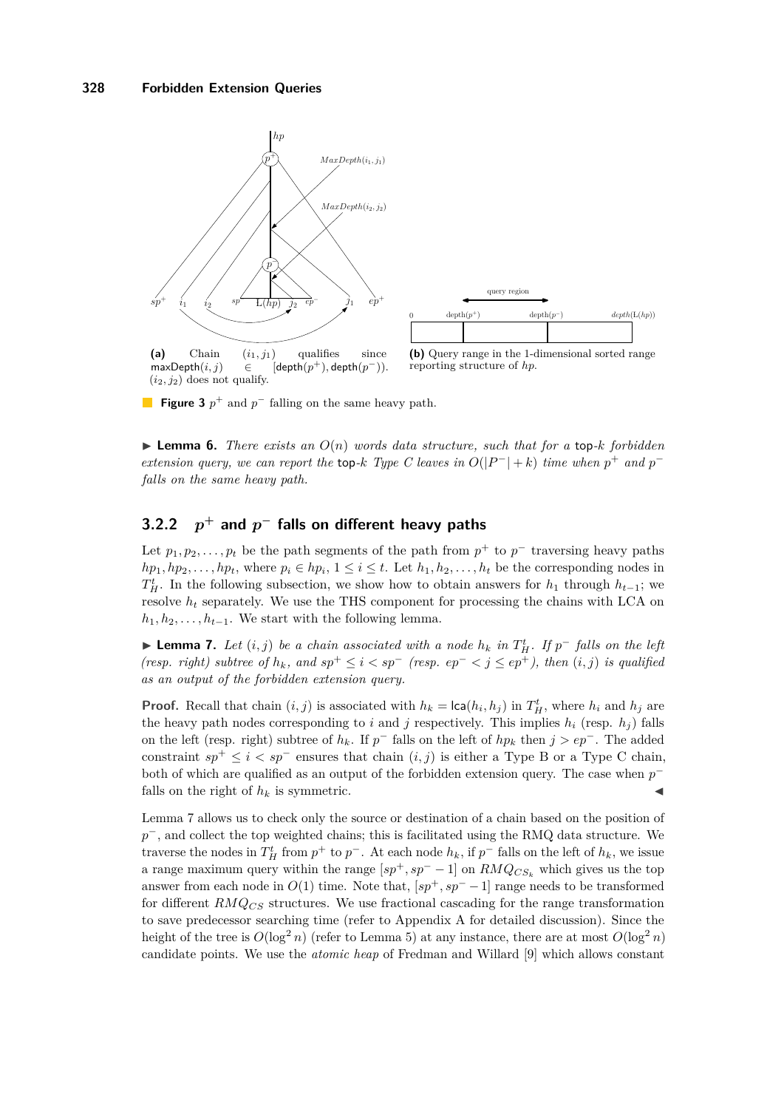<span id="page-8-0"></span>

**Figure 3**  $p^+$  and  $p^-$  falling on the same heavy path.

<span id="page-8-2"></span> $\triangleright$  **Lemma 6.** *There exists an*  $O(n)$  *words data structure, such that for a* top-*k forbidden extension query, we can report the* top-*k Type C leaves in*  $O(|P^-|+k)$  *time when*  $p^+$  *and*  $p^$ *falls on the same heavy path.*

#### **3.2.2** *p* **<sup>+</sup> and** *p* **<sup>−</sup> falls on different heavy paths**

Let  $p_1, p_2, \ldots, p_t$  be the path segments of the path from  $p^+$  to  $p^-$  traversing heavy paths  $hp_1, hp_2, \ldots, hp_t$ , where  $p_i \in hp_i$ ,  $1 \leq i \leq t$ . Let  $h_1, h_2, \ldots, h_t$  be the corresponding nodes in  $T_H^t$ . In the following subsection, we show how to obtain answers for *h*<sub>1</sub> through *h*<sub>*t*−1</sub>; we resolve  $h_t$  separately. We use the THS component for processing the chains with LCA on  $h_1, h_2, \ldots, h_{t-1}$ . We start with the following lemma.

<span id="page-8-1"></span>► **Lemma 7.** *Let*  $(i, j)$  *be a chain associated with a node*  $h_k$  *in*  $T_H^t$ *. If*  $p^-$  *falls on the left (resp. right) subtree of*  $h_k$ *, and sp*<sup>+</sup>  $\leq i < sp^-$  *(resp. ep<sup>-</sup>*  $\lt j \leq ep^+$ *), then*  $(i, j)$  *is qualified as an output of the forbidden extension query.*

**Proof.** Recall that chain  $(i, j)$  is associated with  $h_k = \text{lca}(h_i, h_j)$  in  $T_H^t$ , where  $h_i$  and  $h_j$  are the heavy path nodes corresponding to *i* and *j* respectively. This implies  $h_i$  (resp.  $h_j$ ) falls on the left (resp. right) subtree of  $h_k$ . If  $p^-$  falls on the left of  $hp_k$  then  $j > ep^-$ . The added constraint  $sp^+ \leq i < sp^-$  ensures that chain  $(i, j)$  is either a Type B or a Type C chain, both of which are qualified as an output of the forbidden extension query. The case when  $p^$ falls on the right of  $h_k$  is symmetric.

Lemma [7](#page-8-1) allows us to check only the source or destination of a chain based on the position of *p*<sup>−</sup>, and collect the top weighted chains; this is facilitated using the RMQ data structure. We traverse the nodes in  $T_H^t$  from  $p^+$  to  $p^-$ . At each node  $h_k$ , if  $p^-$  falls on the left of  $h_k$ , we issue a range maximum query within the range  $[sp^+, sp^- - 1]$  on  $RMQ_{CS_k}$  which gives us the top answer from each node in  $O(1)$  time. Note that,  $[sp^+, sp^- - 1]$  range needs to be transformed for different *RMQCS* structures. We use fractional cascading for the range transformation to save predecessor searching time (refer to Appendix [A](#page-15-1) for detailed discussion). Since the height of the tree is  $O(\log^2 n)$  (refer to Lemma [5\)](#page-6-1) at any instance, there are at most  $O(\log^2 n)$ candidate points. We use the *atomic heap* of Fredman and Willard [\[9\]](#page-13-11) which allows constant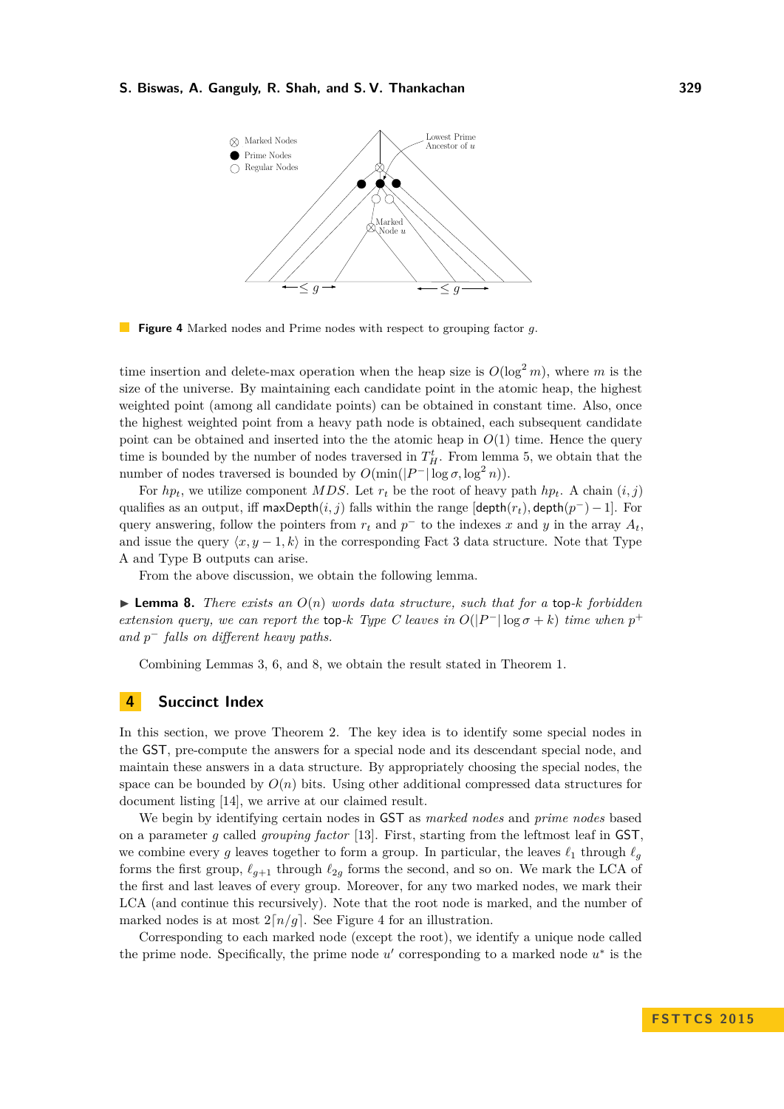<span id="page-9-2"></span>

**The Co Figure 4** Marked nodes and Prime nodes with respect to grouping factor *g*.

time insertion and delete-max operation when the heap size is  $O(\log^2 m)$ , where *m* is the size of the universe. By maintaining each candidate point in the atomic heap, the highest weighted point (among all candidate points) can be obtained in constant time. Also, once the highest weighted point from a heavy path node is obtained, each subsequent candidate point can be obtained and inserted into the the atomic heap in  $O(1)$  time. Hence the query time is bounded by the number of nodes traversed in  $T_H^t$ . From lemma [5,](#page-6-1) we obtain that the number of nodes traversed is bounded by  $O(\min(|P^-| \log \sigma, \log^2 n)).$ 

For  $hp_t$ , we utilize component *MDS*. Let  $r_t$  be the root of heavy path  $hp_t$ . A chain  $(i, j)$ qualifies as an output, iff maxDepth $(i, j)$  falls within the range  $[depth(r_t), depth(p^-) - 1]$ . For query answering, follow the pointers from  $r_t$  and  $p^-$  to the indexes x and y in the array  $A_t$ , and issue the query  $\langle x, y - 1, k \rangle$  in the corresponding Fact [3](#page-3-1) data structure. Note that Type A and Type B outputs can arise.

From the above discussion, we obtain the following lemma.

<span id="page-9-1"></span> $\triangleright$  **Lemma 8.** *There exists an*  $O(n)$  *words data structure, such that for a* top-*k forbidden extension query, we can report the* top-*k Type C leaves in*  $O(|P^-| \log \sigma + k)$  *time when*  $p^+$ *and p* <sup>−</sup> *falls on different heavy paths.*

Combining Lemmas [3,](#page-4-1) [6,](#page-8-2) and [8,](#page-9-1) we obtain the result stated in Theorem [1.](#page-1-1)

## <span id="page-9-0"></span>**4 Succinct Index**

In this section, we prove Theorem [2.](#page-1-2) The key idea is to identify some special nodes in the GST, pre-compute the answers for a special node and its descendant special node, and maintain these answers in a data structure. By appropriately choosing the special nodes, the space can be bounded by  $O(n)$  bits. Using other additional compressed data structures for document listing [\[14\]](#page-13-1), we arrive at our claimed result.

We begin by identifying certain nodes in GST as *marked nodes* and *prime nodes* based on a parameter *g* called *grouping factor* [\[13\]](#page-13-0). First, starting from the leftmost leaf in GST, we combine every g leaves together to form a group. In particular, the leaves  $\ell_1$  through  $\ell_g$ forms the first group,  $\ell_{g+1}$  through  $\ell_{2g}$  forms the second, and so on. We mark the LCA of the first and last leaves of every group. Moreover, for any two marked nodes, we mark their LCA (and continue this recursively). Note that the root node is marked, and the number of marked nodes is at most  $2[n/q]$ . See Figure [4](#page-9-2) for an illustration.

Corresponding to each marked node (except the root), we identify a unique node called the prime node. Specifically, the prime node  $u'$  corresponding to a marked node  $u^*$  is the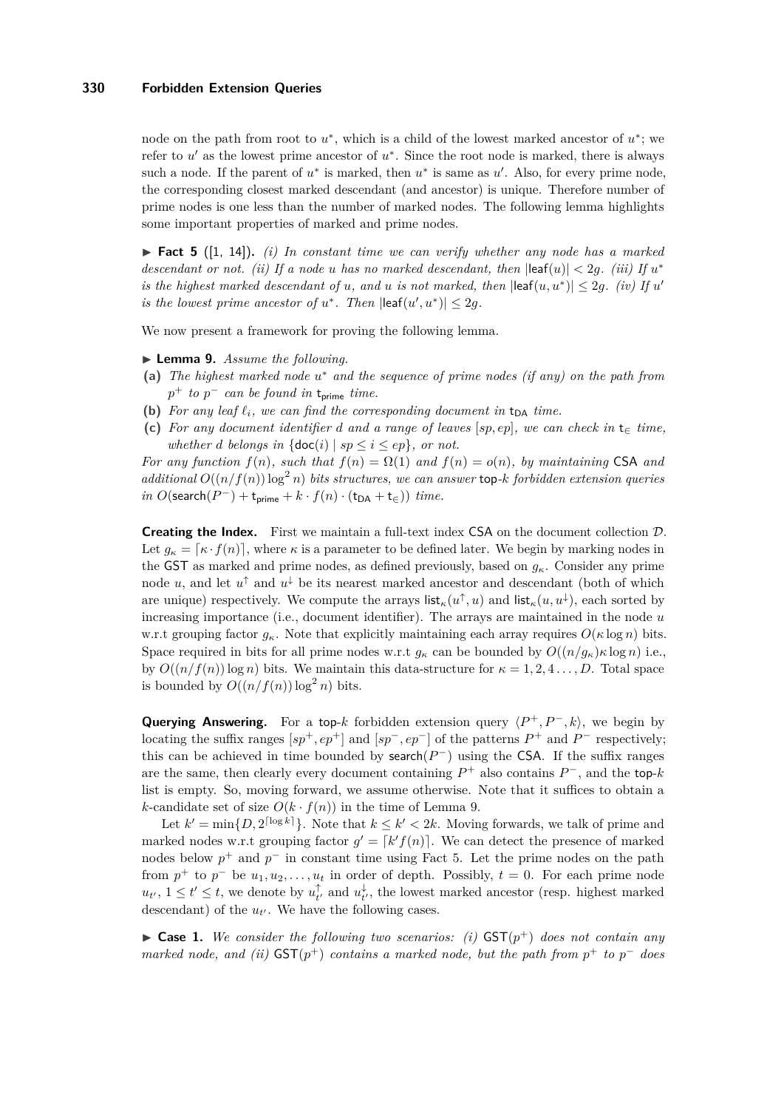## **330 Forbidden Extension Queries**

node on the path from root to  $u^*$ , which is a child of the lowest marked ancestor of  $u^*$ ; we refer to  $u'$  as the lowest prime ancestor of  $u^*$ . Since the root node is marked, there is always such a node. If the parent of  $u^*$  is marked, then  $u^*$  is same as  $u'$ . Also, for every prime node, the corresponding closest marked descendant (and ancestor) is unique. Therefore number of prime nodes is one less than the number of marked nodes. The following lemma highlights some important properties of marked and prime nodes.

<span id="page-10-1"></span>▶ Fact 5 ([\[1,](#page-13-5) [14\]](#page-13-1)). (*i)* In constant time we can verify whether any node has a marked *descendant or not.* (ii) If a node *u* has no marked descendant, then  $|\text{leaf}(u)| < 2g$ . (iii) If  $u^*$ *is the highest marked descendant of u*, and *u is not marked, then*  $\left|\text{leaf}(u, u^*)\right| \leq 2g$ . *(iv)* If *u' is the lowest prime ancestor of*  $u^*$ . Then  $\left|\text{leaf}(u', u^*)\right| \leq 2g$ .

We now present a framework for proving the following lemma.

- <span id="page-10-0"></span>▶ **Lemma 9.** *Assume the following.*
- **(a)** *The highest marked node u* <sup>∗</sup> *and the sequence of prime nodes (if any) on the path from*  $p^+$  *to*  $p^-$  *can be found in*  $t_{\text{prime}}$  *time.*
- **(b)** For any leaf  $\ell_i$ , we can find the corresponding document in  $t_{DA}$  time.
- **(c)** *For any document identifier d and a range of leaves* [*sp, ep*]*, we can check in* t<sup>∈</sup> *time, whether d belongs* in  $\{\text{doc}(i) \mid sp \leq i \leq ep\}$ , *or not.*

*For any function*  $f(n)$ *, such that*  $f(n) = \Omega(1)$  *and*  $f(n) = o(n)$ *, by maintaining* CSA *and additional*  $O((n/f(n))\log^2 n)$  *bits structures, we can answer* top-*k forbidden extension queries*  $\int$ *in O*(search( $P^-$ ) + t<sub>prime</sub> +  $k \cdot f(n) \cdot$  (t<sub>DA</sub> + t<sub>∈</sub>)) *time.* 

**Creating the Index.** First we maintain a full-text index CSA on the document collection D. Let  $g_k = [\kappa \cdot f(n)]$ , where  $\kappa$  is a parameter to be defined later. We begin by marking nodes in the GST as marked and prime nodes, as defined previously, based on  $g_{\kappa}$ . Consider any prime node *u*, and let  $u^{\uparrow}$  and  $u^{\downarrow}$  be its nearest marked ancestor and descendant (both of which are unique) respectively. We compute the arrays  $\mathsf{list}_{\kappa}(u^{\uparrow}, u)$  and  $\mathsf{list}_{\kappa}(u, u^{\downarrow})$ , each sorted by increasing importance (i.e., document identifier). The arrays are maintained in the node *u* w.r.t grouping factor  $g_k$ . Note that explicitly maintaining each array requires  $O(\kappa \log n)$  bits. Space required in bits for all prime nodes w.r.t  $g_{\kappa}$  can be bounded by  $O((n/g_{\kappa})\kappa \log n)$  i.e., by  $O((n/f(n))\log n)$  bits. We maintain this data-structure for  $\kappa = 1, 2, 4, \ldots, D$ . Total space is bounded by  $O((n/f(n)) \log^2 n)$  bits.

**Querying Answering.** For a top-k forbidden extension query  $\langle P^+, P^-, k \rangle$ , we begin by locating the suffix ranges  $[sp^+, ep^+]$  and  $[sp^-, ep^-]$  of the patterns  $P^+$  and  $P^-$  respectively; this can be achieved in time bounded by search( $P^-$ ) using the CSA. If the suffix ranges are the same, then clearly every document containing  $P^+$  also contains  $P^-$ , and the top-*k* list is empty. So, moving forward, we assume otherwise. Note that it suffices to obtain a *k*-candidate set of size  $O(k \cdot f(n))$  in the time of Lemma [9.](#page-10-0)

Let  $k' = \min\{D, 2^{\lceil \log k \rceil}\}\.$  Note that  $k \leq k' < 2k$ . Moving forwards, we talk of prime and marked nodes w.r.t grouping factor  $g' = [k' f(n)]$ . We can detect the presence of marked nodes below  $p^+$  and  $p^-$  in constant time using Fact [5.](#page-10-1) Let the prime nodes on the path from  $p^+$  to  $p^-$  be  $u_1, u_2, \ldots, u_t$  in order of depth. Possibly,  $t = 0$ . For each prime node  $u_{t'}$ ,  $1 \le t' \le t$ , we denote by  $u_{t'}^{\uparrow}$  and  $u_{t'}^{\downarrow}$ , the lowest marked ancestor (resp. highest marked descendant) of the  $u_{t'}$ . We have the following cases.

<span id="page-10-2"></span> $\triangleright$  **Case 1.** We consider the following two scenarios: (i) GST( $p^+$ ) does not contain any *marked node, and (ii)*  $\text{GST}(p^+)$  *contains a marked node, but the path from*  $p^+$  *to*  $p^-$  *does*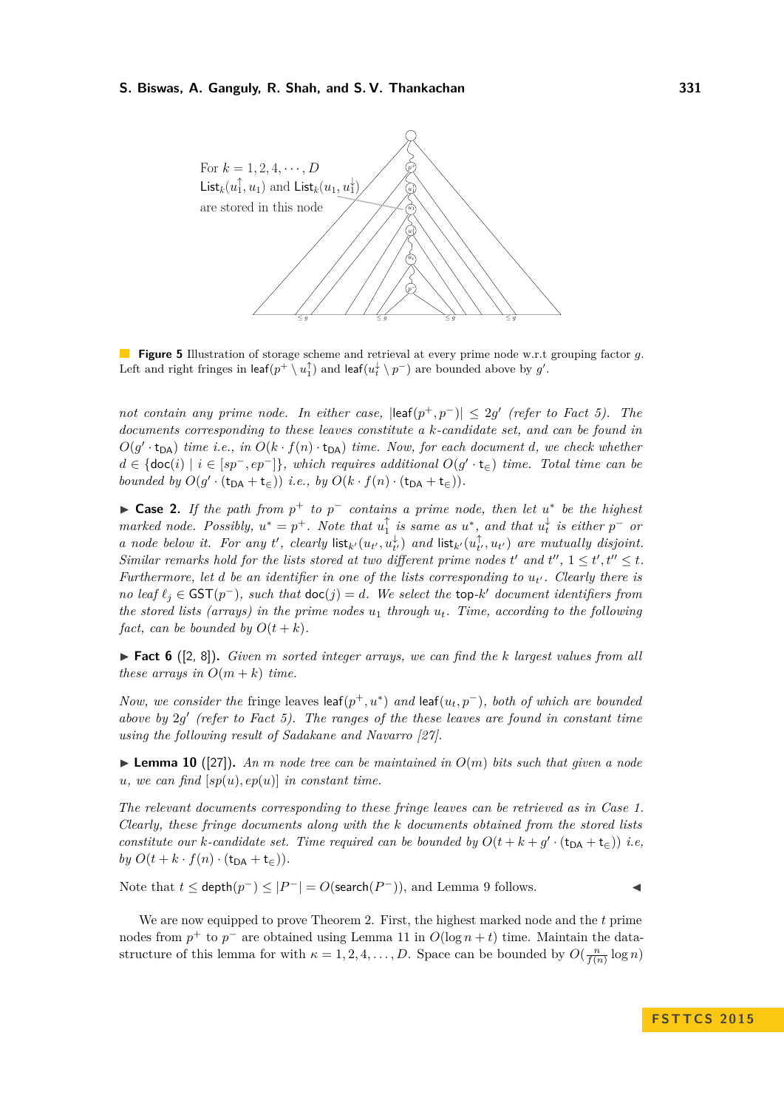

**Figure 5** Illustration of storage scheme and retrieval at every prime node w.r.t grouping factor *g*. Left and right fringes in  $\mathsf{leaf}(p^+ \setminus u_1^\uparrow)$  and  $\mathsf{leaf}(u_t^\downarrow \setminus p^-)$  are bounded above by  $g'.$ 

*not contain any prime node. In either case,*  $\left|\text{leaf}(p^+,p^-)\right|\leq 2g'$  (refer to Fact [5\)](#page-10-1). The *documents corresponding to these leaves constitute a k-candidate set, and can be found in*  $O(g' \cdot t_{DA})$  *time i.e., in*  $O(k \cdot f(n) \cdot t_{DA})$  *time. Now, for each document d, we check whether*  $d \in \{\text{doc}(i) \mid i \in [sp^-, ep^-]\},$  which requires additional  $O(g' \cdot \mathsf{t}_{\in})$  time. Total time can be *bounded by*  $O(g' \cdot (\mathsf{t}_{\mathsf{DA}} + \mathsf{t}_{\in}) )$  *i.e., by*  $O(k \cdot f(n) \cdot (\mathsf{t}_{\mathsf{DA}} + \mathsf{t}_{\in})).$ 

► Case 2. If the path from  $p^+$  to  $p^-$  contains a prime node, then let  $u^*$  be the highest *marked node.* Possibly,  $u^* = p^+$ . Note that  $u_1^{\uparrow}$  is same as  $u^*$ , and that  $u_t^{\downarrow}$  is either  $p^-$  or *a* node below it. For any *t'*, clearly  $\textsf{list}_{k'}(u_{t'}, u_{t'}^{\downarrow})$  and  $\textsf{list}_{k'}(u_{t'}^{\uparrow}, u_{t'})$  are mutually disjoint. *Similar remarks hold for the lists stored at two different prime nodes t' and t'',*  $1 \le t'$ ,  $t'' \le t$ . *Furthermore, let d be an identifier in one of the lists corresponding to*  $u_{t'}$ . Clearly there is *no leaf*  $\ell_j$  ∈ GST( $p^-$ )*, such that*  $\text{doc}(j) = d$ *. We select the* top-*k*' *document identifiers from the stored lists (arrays) in the prime nodes*  $u_1$  *through*  $u_t$ *. Time, according to the following fact, can be bounded by*  $O(t + k)$ *.* 

 $\triangleright$  **Fact 6** ([\[2,](#page-13-7) [8\]](#page-13-12)). *Given m* sorted integer arrays, we can find the *k* largest values from all *these arrays in*  $O(m+k)$  *time.* 

*Now, we consider the* fringe leaves  $\text{leaf}(p^+, u^*)$  *and*  $\text{leaf}(u_t, p^-)$ *, both of which are bounded above by* 2*g* 0 *(refer to Fact [5\)](#page-10-1). The ranges of the these leaves are found in constant time using the following result of Sadakane and Navarro [\[27\]](#page-14-10)*.

**Lemma 10** ([\[27\]](#page-14-10)). An *m* node tree can be maintained in  $O(m)$  bits such that given a node  $u, we can find [sp(u), ep(u)]$  *in constant time.* 

*The relevant documents corresponding to these fringe leaves can be retrieved as in Case [1.](#page-10-2) Clearly, these fringe documents along with the k documents obtained from the stored lists constitute our k*-candidate set. Time required can be bounded by  $O(t + k + g' \cdot (\mathbf{t}_{DA} + \mathbf{t}_{\in}))$  *i.e,*  $by O(t + k \cdot f(n) \cdot (\mathbf{t}_{\mathsf{DA}} + \mathbf{t}_{\in})).$ 

Note that *t* ≤ depth $(p^-)$  ≤  $|P^-|$  = *O*(search $(P^-)$ ), and Lemma [9](#page-10-0) follows.

We are now equipped to prove Theorem [2.](#page-1-2) First, the highest marked node and the *t* prime nodes from  $p^+$  to  $p^-$  are obtained using Lemma [11](#page-12-1) in  $O(\log n + t)$  time. Maintain the datastructure of this lemma for with  $\kappa = 1, 2, 4, \ldots, D$ . Space can be bounded by  $O(\frac{n}{f(n)} \log n)$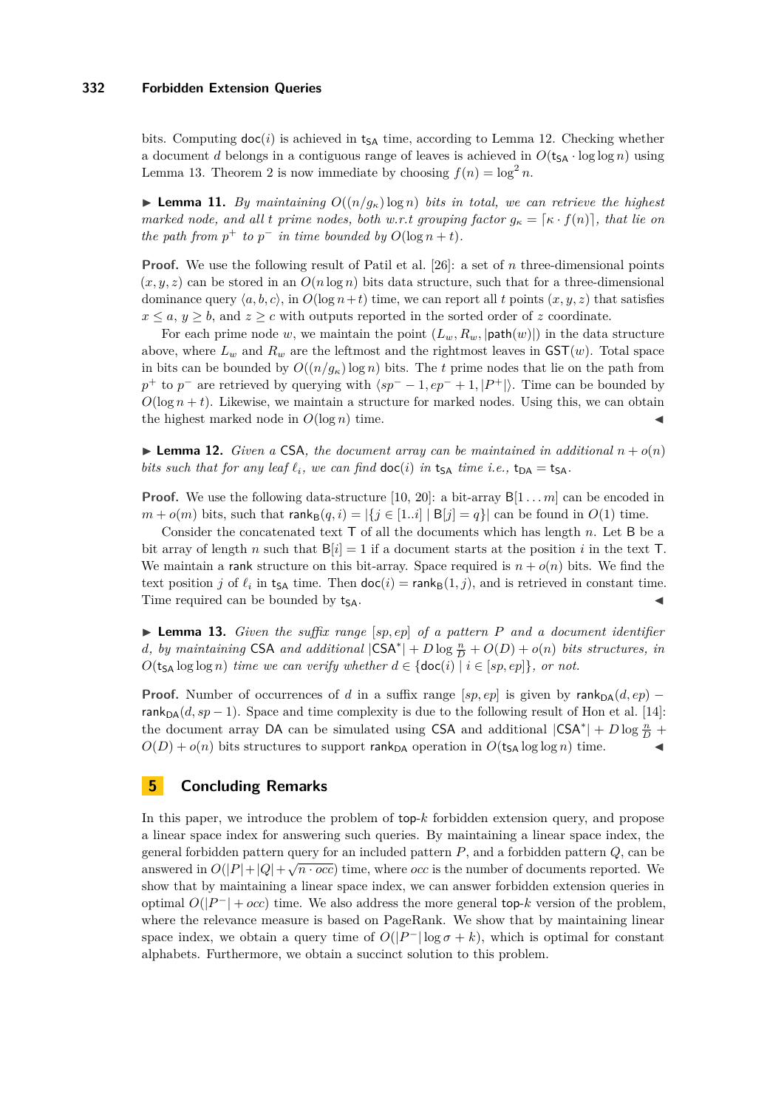## **332 Forbidden Extension Queries**

bits. Computing  $\text{doc}(i)$  is achieved in t<sub>SA</sub> time, according to Lemma [12.](#page-12-2) Checking whether a document *d* belongs in a contiguous range of leaves is achieved in  $O(t_{SA} \cdot \log \log n)$  using Lemma [13.](#page-12-3) Theorem [2](#page-1-2) is now immediate by choosing  $f(n) = \log^2 n$ .

<span id="page-12-1"></span>**Lemma 11.** *By maintaining*  $O((n/g<sub>k</sub>)\log n)$  *bits in total, we can retrieve the highest marked node, and all t prime nodes, both w.r.t grouping factor*  $g_{\kappa} = [\kappa \cdot f(n)]$ , that lie on *the path from*  $p^+$  *to*  $p^-$  *in time bounded by*  $O(\log n + t)$ *.* 

**Proof.** We use the following result of Patil et al. [\[26\]](#page-14-9): a set of *n* three-dimensional points  $(x, y, z)$  can be stored in an  $O(n \log n)$  bits data structure, such that for a three-dimensional dominance query  $\langle a, b, c \rangle$ , in  $O(\log n + t)$  time, we can report all *t* points  $(x, y, z)$  that satisfies  $x \leq a, y \geq b$ , and  $z \geq c$  with outputs reported in the sorted order of *z* coordinate.

For each prime node *w*, we maintain the point  $(L_w, R_w, |\text{path}(w)|)$  in the data structure above, where  $L_w$  and  $R_w$  are the leftmost and the rightmost leaves in  $GST(w)$ . Total space in bits can be bounded by  $O((n/g<sub>\kappa</sub>)\log n)$  bits. The *t* prime nodes that lie on the path from  $p^+$  to  $p^-$  are retrieved by querying with  $\langle sp^- - 1, ep^- + 1, |P^+| \rangle$ . Time can be bounded by  $O(\log n + t)$ . Likewise, we maintain a structure for marked nodes. Using this, we can obtain the highest marked node in  $O(\log n)$  time.

<span id="page-12-2"></span>**Example 12.** Given a CSA, the document array can be maintained in additional  $n + o(n)$ *bits such that for any leaf*  $\ell_i$ *, we can find*  $\text{doc}(i)$  *in*  $t_{SA}$  *time i.e.*,  $t_{DA} = t_{SA}$ *.* 

**Proof.** We use the following data-structure [\[10,](#page-13-13) [20\]](#page-14-11): a bit-array  $B[1 \dots m]$  can be encoded in  $m + o(m)$  bits, such that  $\text{rank}_{\mathsf{B}}(q, i) = |\{j \in [1..i] \mid \mathsf{B}[j] = q\}|$  can be found in  $O(1)$  time.

Consider the concatenated text T of all the documents which has length *n*. Let B be a bit array of length *n* such that  $B[i] = 1$  if a document starts at the position *i* in the text T. We maintain a rank structure on this bit-array. Space required is  $n + o(n)$  bits. We find the text position *j* of  $\ell_i$  in t<sub>SA</sub> time. Then  $\text{doc}(i) = \text{rank}_B(1, j)$ , and is retrieved in constant time. Time required can be bounded by  $t_{SA}$ .

<span id="page-12-3"></span> $\triangleright$  **Lemma 13.** *Given the suffix range* [sp, ep] of a pattern P and a document identifier *d*, by maintaining CSA and additional  $|CSA^*| + D \log \frac{n}{D} + O(D) + o(n)$  bits structures, in  $O(t_{SA} \log \log n)$  *time we can verify whether*  $d \in \{\text{doc}(i) \mid i \in [sp, ep]\},\}$  *or not.* 

**Proof.** Number of occurrences of *d* in a suffix range [*sp, ep*] is given by rank $p_A(d, ep)$  − rank<sub>DA</sub> $(d, sp - 1)$ . Space and time complexity is due to the following result of Hon et al. [\[14\]](#page-13-1): the document array DA can be simulated using CSA and additional  $|CSA^*| + D \log \frac{n}{D}$  +  $O(D) + o(n)$  bits structures to support rank<sub>DA</sub> operation in  $O(t_{SA} \log \log n)$  time.

## <span id="page-12-0"></span>**5 Concluding Remarks**

In this paper, we introduce the problem of top-*k* forbidden extension query, and propose a linear space index for answering such queries. By maintaining a linear space index, the general forbidden pattern query for an included pattern *P*, and a forbidden pattern *Q*, can be answered in  $O(|P|+|Q|+\sqrt{n\cdot occ})$  time, where *occ* is the number of documents reported. We show that by maintaining a linear space index, we can answer forbidden extension queries in optimal  $O(|P^-| + occ)$  time. We also address the more general top- $k$  version of the problem, where the relevance measure is based on PageRank. We show that by maintaining linear space index, we obtain a query time of  $O(|P^-| \log \sigma + k)$ , which is optimal for constant alphabets. Furthermore, we obtain a succinct solution to this problem.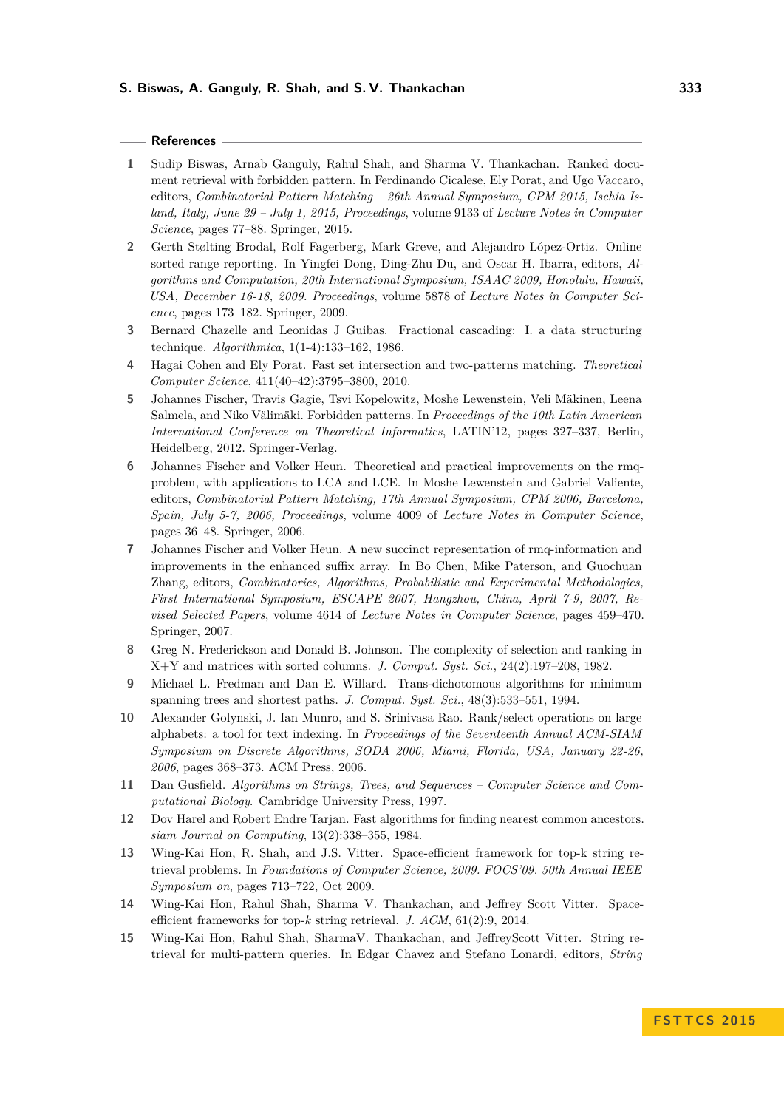## **References**

- <span id="page-13-5"></span>**1** Sudip Biswas, Arnab Ganguly, Rahul Shah, and Sharma V. Thankachan. Ranked document retrieval with forbidden pattern. In Ferdinando Cicalese, Ely Porat, and Ugo Vaccaro, editors, *Combinatorial Pattern Matching – 26th Annual Symposium, CPM 2015, Ischia Island, Italy, June 29 – July 1, 2015, Proceedings*, volume 9133 of *Lecture Notes in Computer Science*, pages 77–88. Springer, 2015.
- <span id="page-13-7"></span>**2** Gerth Stølting Brodal, Rolf Fagerberg, Mark Greve, and Alejandro López-Ortiz. Online sorted range reporting. In Yingfei Dong, Ding-Zhu Du, and Oscar H. Ibarra, editors, *Algorithms and Computation, 20th International Symposium, ISAAC 2009, Honolulu, Hawaii, USA, December 16-18, 2009. Proceedings*, volume 5878 of *Lecture Notes in Computer Science*, pages 173–182. Springer, 2009.
- <span id="page-13-14"></span>**3** Bernard Chazelle and Leonidas J Guibas. Fractional cascading: I. a data structuring technique. *Algorithmica*, 1(1-4):133–162, 1986.
- <span id="page-13-2"></span>**4** Hagai Cohen and Ely Porat. Fast set intersection and two-patterns matching. *Theoretical Computer Science*, 411(40–42):3795–3800, 2010.
- <span id="page-13-4"></span>**5** Johannes Fischer, Travis Gagie, Tsvi Kopelowitz, Moshe Lewenstein, Veli Mäkinen, Leena Salmela, and Niko Välimäki. Forbidden patterns. In *Proceedings of the 10th Latin American International Conference on Theoretical Informatics*, LATIN'12, pages 327–337, Berlin, Heidelberg, 2012. Springer-Verlag.
- <span id="page-13-9"></span>**6** Johannes Fischer and Volker Heun. Theoretical and practical improvements on the rmqproblem, with applications to LCA and LCE. In Moshe Lewenstein and Gabriel Valiente, editors, *Combinatorial Pattern Matching, 17th Annual Symposium, CPM 2006, Barcelona, Spain, July 5-7, 2006, Proceedings*, volume 4009 of *Lecture Notes in Computer Science*, pages 36–48. Springer, 2006.
- <span id="page-13-10"></span>**7** Johannes Fischer and Volker Heun. A new succinct representation of rmq-information and improvements in the enhanced suffix array. In Bo Chen, Mike Paterson, and Guochuan Zhang, editors, *Combinatorics, Algorithms, Probabilistic and Experimental Methodologies, First International Symposium, ESCAPE 2007, Hangzhou, China, April 7-9, 2007, Revised Selected Papers*, volume 4614 of *Lecture Notes in Computer Science*, pages 459–470. Springer, 2007.
- <span id="page-13-12"></span>**8** Greg N. Frederickson and Donald B. Johnson. The complexity of selection and ranking in X+Y and matrices with sorted columns. *J. Comput. Syst. Sci.*, 24(2):197–208, 1982.
- <span id="page-13-11"></span>**9** Michael L. Fredman and Dan E. Willard. Trans-dichotomous algorithms for minimum spanning trees and shortest paths. *J. Comput. Syst. Sci.*, 48(3):533–551, 1994.
- <span id="page-13-13"></span>**10** Alexander Golynski, J. Ian Munro, and S. Srinivasa Rao. Rank/select operations on large alphabets: a tool for text indexing. In *Proceedings of the Seventeenth Annual ACM-SIAM Symposium on Discrete Algorithms, SODA 2006, Miami, Florida, USA, January 22-26, 2006*, pages 368–373. ACM Press, 2006.
- <span id="page-13-6"></span>**11** Dan Gusfield. *Algorithms on Strings, Trees, and Sequences – Computer Science and Computational Biology*. Cambridge University Press, 1997.
- <span id="page-13-8"></span>**12** Dov Harel and Robert Endre Tarjan. Fast algorithms for finding nearest common ancestors. *siam Journal on Computing*, 13(2):338–355, 1984.
- <span id="page-13-0"></span>**13** Wing-Kai Hon, R. Shah, and J.S. Vitter. Space-efficient framework for top-k string retrieval problems. In *Foundations of Computer Science, 2009. FOCS'09. 50th Annual IEEE Symposium on*, pages 713–722, Oct 2009.
- <span id="page-13-1"></span>**14** Wing-Kai Hon, Rahul Shah, Sharma V. Thankachan, and Jeffrey Scott Vitter. Spaceefficient frameworks for top-*k* string retrieval. *J. ACM*, 61(2):9, 2014.
- <span id="page-13-3"></span>**15** Wing-Kai Hon, Rahul Shah, SharmaV. Thankachan, and JeffreyScott Vitter. String retrieval for multi-pattern queries. In Edgar Chavez and Stefano Lonardi, editors, *String*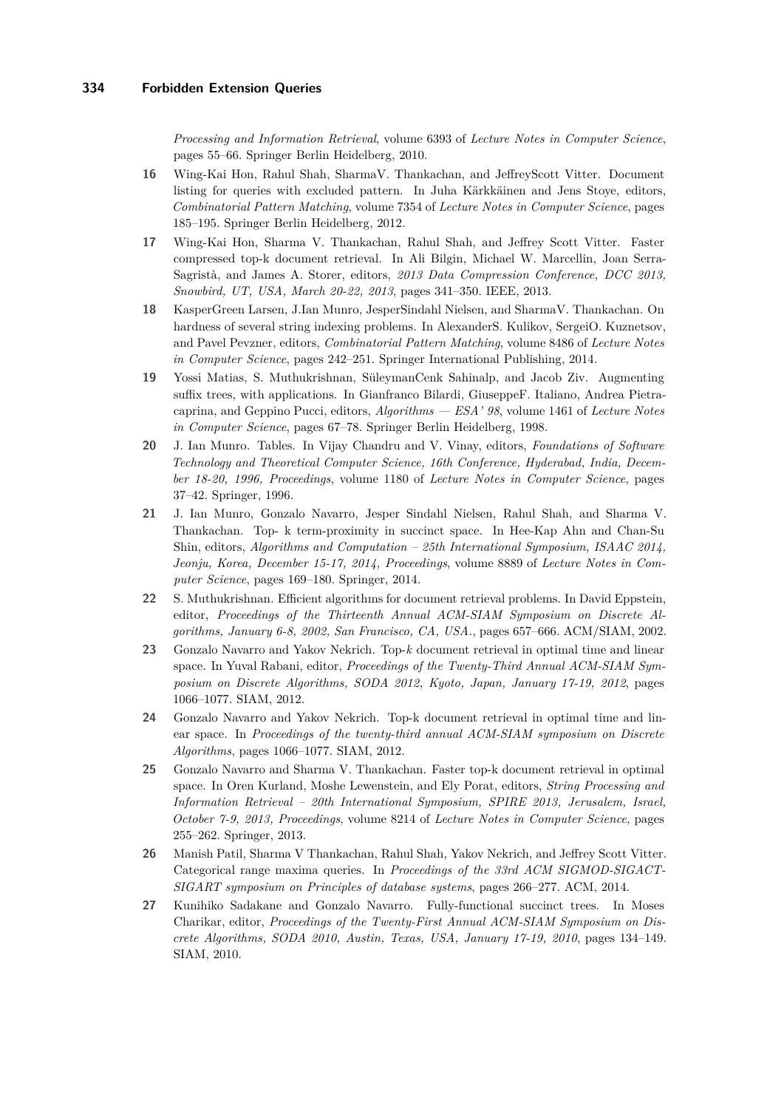*Processing and Information Retrieval*, volume 6393 of *Lecture Notes in Computer Science*, pages 55–66. Springer Berlin Heidelberg, 2010.

- <span id="page-14-7"></span>**16** Wing-Kai Hon, Rahul Shah, SharmaV. Thankachan, and JeffreyScott Vitter. Document listing for queries with excluded pattern. In Juha Kärkkäinen and Jens Stoye, editors, *Combinatorial Pattern Matching*, volume 7354 of *Lecture Notes in Computer Science*, pages 185–195. Springer Berlin Heidelberg, 2012.
- <span id="page-14-3"></span>**17** Wing-Kai Hon, Sharma V. Thankachan, Rahul Shah, and Jeffrey Scott Vitter. Faster compressed top-k document retrieval. In Ali Bilgin, Michael W. Marcellin, Joan Serra-Sagristà, and James A. Storer, editors, *2013 Data Compression Conference, DCC 2013, Snowbird, UT, USA, March 20-22, 2013*, pages 341–350. IEEE, 2013.
- <span id="page-14-6"></span>**18** KasperGreen Larsen, J.Ian Munro, JesperSindahl Nielsen, and SharmaV. Thankachan. On hardness of several string indexing problems. In AlexanderS. Kulikov, SergeiO. Kuznetsov, and Pavel Pevzner, editors, *Combinatorial Pattern Matching*, volume 8486 of *Lecture Notes in Computer Science*, pages 242–251. Springer International Publishing, 2014.
- <span id="page-14-0"></span>**19** Yossi Matias, S. Muthukrishnan, SüleymanCenk Sahinalp, and Jacob Ziv. Augmenting suffix trees, with applications. In Gianfranco Bilardi, GiuseppeF. Italiano, Andrea Pietracaprina, and Geppino Pucci, editors, *Algorithms — ESA' 98*, volume 1461 of *Lecture Notes in Computer Science*, pages 67–78. Springer Berlin Heidelberg, 1998.
- <span id="page-14-11"></span>**20** J. Ian Munro. Tables. In Vijay Chandru and V. Vinay, editors, *Foundations of Software Technology and Theoretical Computer Science, 16th Conference, Hyderabad, India, December 18-20, 1996, Proceedings*, volume 1180 of *Lecture Notes in Computer Science*, pages 37–42. Springer, 1996.
- <span id="page-14-4"></span>**21** J. Ian Munro, Gonzalo Navarro, Jesper Sindahl Nielsen, Rahul Shah, and Sharma V. Thankachan. Top- k term-proximity in succinct space. In Hee-Kap Ahn and Chan-Su Shin, editors, *Algorithms and Computation – 25th International Symposium, ISAAC 2014, Jeonju, Korea, December 15-17, 2014, Proceedings*, volume 8889 of *Lecture Notes in Computer Science*, pages 169–180. Springer, 2014.
- <span id="page-14-1"></span>**22** S. Muthukrishnan. Efficient algorithms for document retrieval problems. In David Eppstein, editor, *Proceedings of the Thirteenth Annual ACM-SIAM Symposium on Discrete Algorithms, January 6-8, 2002, San Francisco, CA, USA.*, pages 657–666. ACM/SIAM, 2002.
- <span id="page-14-2"></span>**23** Gonzalo Navarro and Yakov Nekrich. Top-*k* document retrieval in optimal time and linear space. In Yuval Rabani, editor, *Proceedings of the Twenty-Third Annual ACM-SIAM Symposium on Discrete Algorithms, SODA 2012, Kyoto, Japan, January 17-19, 2012*, pages 1066–1077. SIAM, 2012.
- <span id="page-14-8"></span>**24** Gonzalo Navarro and Yakov Nekrich. Top-k document retrieval in optimal time and linear space. In *Proceedings of the twenty-third annual ACM-SIAM symposium on Discrete Algorithms*, pages 1066–1077. SIAM, 2012.
- <span id="page-14-5"></span>**25** Gonzalo Navarro and Sharma V. Thankachan. Faster top-k document retrieval in optimal space. In Oren Kurland, Moshe Lewenstein, and Ely Porat, editors, *String Processing and Information Retrieval – 20th International Symposium, SPIRE 2013, Jerusalem, Israel, October 7-9, 2013, Proceedings*, volume 8214 of *Lecture Notes in Computer Science*, pages 255–262. Springer, 2013.
- <span id="page-14-9"></span>**26** Manish Patil, Sharma V Thankachan, Rahul Shah, Yakov Nekrich, and Jeffrey Scott Vitter. Categorical range maxima queries. In *Proceedings of the 33rd ACM SIGMOD-SIGACT-SIGART symposium on Principles of database systems*, pages 266–277. ACM, 2014.
- <span id="page-14-10"></span>**27** Kunihiko Sadakane and Gonzalo Navarro. Fully-functional succinct trees. In Moses Charikar, editor, *Proceedings of the Twenty-First Annual ACM-SIAM Symposium on Discrete Algorithms, SODA 2010, Austin, Texas, USA, January 17-19, 2010*, pages 134–149. SIAM, 2010.